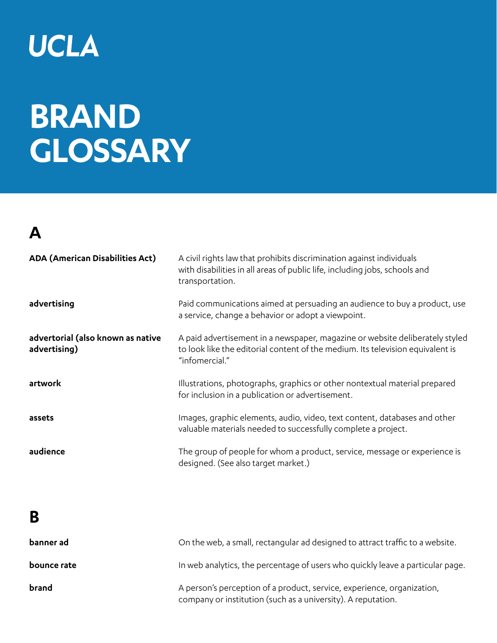## UCLA

# **BRAND GLOSSARY**

## **A**

| <b>ADA (American Disabilities Act)</b>            | A civil rights law that prohibits discrimination against individuals<br>with disabilities in all areas of public life, including jobs, schools and<br>transportation.            |
|---------------------------------------------------|----------------------------------------------------------------------------------------------------------------------------------------------------------------------------------|
| advertising                                       | Paid communications aimed at persuading an audience to buy a product, use<br>a service, change a behavior or adopt a viewpoint.                                                  |
| advertorial (also known as native<br>advertising) | A paid advertisement in a newspaper, magazine or website deliberately styled<br>to look like the editorial content of the medium. Its television equivalent is<br>"infomercial." |
| artwork                                           | Illustrations, photographs, graphics or other nontextual material prepared<br>for inclusion in a publication or advertisement.                                                   |
| assets                                            | Images, graphic elements, audio, video, text content, databases and other<br>valuable materials needed to successfully complete a project.                                       |
| audience                                          | The group of people for whom a product, service, message or experience is<br>designed. (See also target market.)                                                                 |
|                                                   |                                                                                                                                                                                  |

#### **B**

| banner ad   | On the web, a small, rectangular ad designed to attract traffic to a website.                                                          |
|-------------|----------------------------------------------------------------------------------------------------------------------------------------|
| bounce rate | In web analytics, the percentage of users who quickly leave a particular page.                                                         |
| brand       | A person's perception of a product, service, experience, organization,<br>company or institution (such as a university). A reputation. |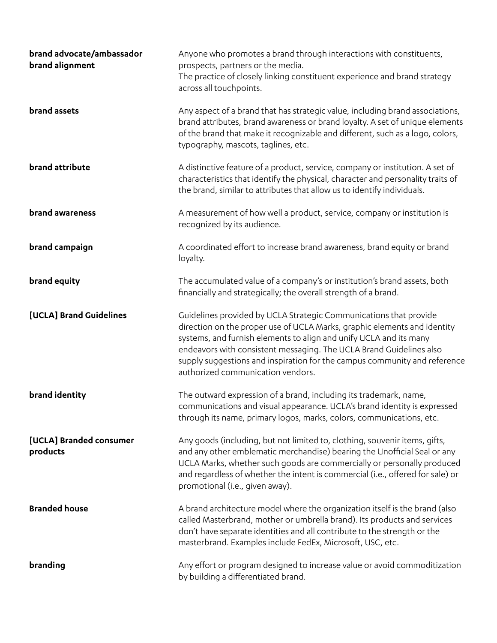| brand advocate/ambassador<br>brand alignment | Anyone who promotes a brand through interactions with constituents,<br>prospects, partners or the media.<br>The practice of closely linking constituent experience and brand strategy<br>across all touchpoints.                                                                                                                                                                                             |
|----------------------------------------------|--------------------------------------------------------------------------------------------------------------------------------------------------------------------------------------------------------------------------------------------------------------------------------------------------------------------------------------------------------------------------------------------------------------|
| brand assets                                 | Any aspect of a brand that has strategic value, including brand associations,<br>brand attributes, brand awareness or brand loyalty. A set of unique elements<br>of the brand that make it recognizable and different, such as a logo, colors,<br>typography, mascots, taglines, etc.                                                                                                                        |
| brand attribute                              | A distinctive feature of a product, service, company or institution. A set of<br>characteristics that identify the physical, character and personality traits of<br>the brand, similar to attributes that allow us to identify individuals.                                                                                                                                                                  |
| brand awareness                              | A measurement of how well a product, service, company or institution is<br>recognized by its audience.                                                                                                                                                                                                                                                                                                       |
| brand campaign                               | A coordinated effort to increase brand awareness, brand equity or brand<br>loyalty.                                                                                                                                                                                                                                                                                                                          |
| brand equity                                 | The accumulated value of a company's or institution's brand assets, both<br>financially and strategically; the overall strength of a brand.                                                                                                                                                                                                                                                                  |
| [UCLA] Brand Guidelines                      | Guidelines provided by UCLA Strategic Communications that provide<br>direction on the proper use of UCLA Marks, graphic elements and identity<br>systems, and furnish elements to align and unify UCLA and its many<br>endeavors with consistent messaging. The UCLA Brand Guidelines also<br>supply suggestions and inspiration for the campus community and reference<br>authorized communication vendors. |
| brand identity                               | The outward expression of a brand, including its trademark, name,<br>communications and visual appearance. UCLA's brand identity is expressed<br>through its name, primary logos, marks, colors, communications, etc.                                                                                                                                                                                        |
| [UCLA] Branded consumer<br>products          | Any goods (including, but not limited to, clothing, souvenir items, gifts,<br>and any other emblematic merchandise) bearing the Unofficial Seal or any<br>UCLA Marks, whether such goods are commercially or personally produced<br>and regardless of whether the intent is commercial (i.e., offered for sale) or<br>promotional (i.e., given away).                                                        |
| <b>Branded house</b>                         | A brand architecture model where the organization itself is the brand (also<br>called Masterbrand, mother or umbrella brand). Its products and services<br>don't have separate identities and all contribute to the strength or the<br>masterbrand. Examples include FedEx, Microsoft, USC, etc.                                                                                                             |
| branding                                     | Any effort or program designed to increase value or avoid commoditization<br>by building a differentiated brand.                                                                                                                                                                                                                                                                                             |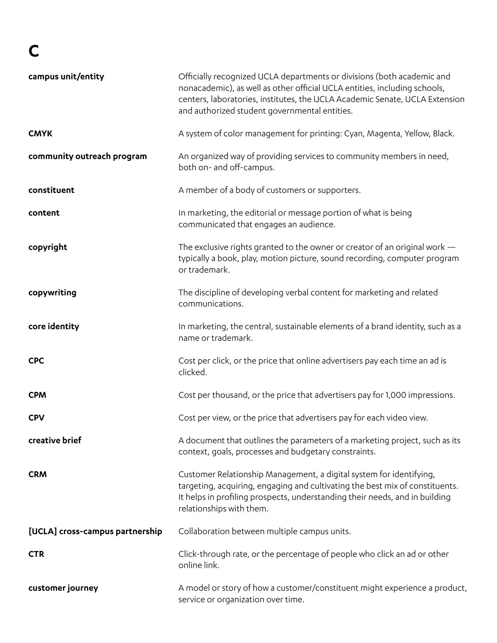## **C**

| campus unit/entity              | Officially recognized UCLA departments or divisions (both academic and<br>nonacademic), as well as other official UCLA entities, including schools,<br>centers, laboratories, institutes, the UCLA Academic Senate, UCLA Extension<br>and authorized student governmental entities. |
|---------------------------------|-------------------------------------------------------------------------------------------------------------------------------------------------------------------------------------------------------------------------------------------------------------------------------------|
| <b>CMYK</b>                     | A system of color management for printing: Cyan, Magenta, Yellow, Black.                                                                                                                                                                                                            |
| community outreach program      | An organized way of providing services to community members in need,<br>both on- and off-campus.                                                                                                                                                                                    |
| constituent                     | A member of a body of customers or supporters.                                                                                                                                                                                                                                      |
| content                         | In marketing, the editorial or message portion of what is being<br>communicated that engages an audience.                                                                                                                                                                           |
| copyright                       | The exclusive rights granted to the owner or creator of an original work $-$<br>typically a book, play, motion picture, sound recording, computer program<br>or trademark.                                                                                                          |
| copywriting                     | The discipline of developing verbal content for marketing and related<br>communications.                                                                                                                                                                                            |
| core identity                   | In marketing, the central, sustainable elements of a brand identity, such as a<br>name or trademark.                                                                                                                                                                                |
| <b>CPC</b>                      | Cost per click, or the price that online advertisers pay each time an ad is<br>clicked.                                                                                                                                                                                             |
| <b>CPM</b>                      | Cost per thousand, or the price that advertisers pay for 1,000 impressions.                                                                                                                                                                                                         |
| <b>CPV</b>                      | Cost per view, or the price that advertisers pay for each video view.                                                                                                                                                                                                               |
| creative brief                  | A document that outlines the parameters of a marketing project, such as its<br>context, goals, processes and budgetary constraints.                                                                                                                                                 |
| <b>CRM</b>                      | Customer Relationship Management, a digital system for identifying,<br>targeting, acquiring, engaging and cultivating the best mix of constituents.<br>It helps in profiling prospects, understanding their needs, and in building<br>relationships with them.                      |
| [UCLA] cross-campus partnership | Collaboration between multiple campus units.                                                                                                                                                                                                                                        |
| <b>CTR</b>                      | Click-through rate, or the percentage of people who click an ad or other<br>online link.                                                                                                                                                                                            |
| customer journey                | A model or story of how a customer/constituent might experience a product,<br>service or organization over time.                                                                                                                                                                    |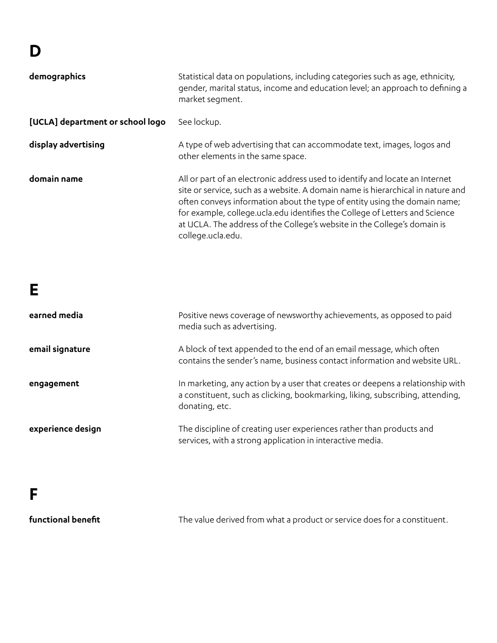### **D**

| demographics                     | Statistical data on populations, including categories such as age, ethnicity,<br>gender, marital status, income and education level; an approach to defining a<br>market segment.                                                                                                                                                                                                                                            |
|----------------------------------|------------------------------------------------------------------------------------------------------------------------------------------------------------------------------------------------------------------------------------------------------------------------------------------------------------------------------------------------------------------------------------------------------------------------------|
| [UCLA] department or school logo | See lockup.                                                                                                                                                                                                                                                                                                                                                                                                                  |
| display advertising              | A type of web advertising that can accommodate text, images, logos and<br>other elements in the same space.                                                                                                                                                                                                                                                                                                                  |
| domain name                      | All or part of an electronic address used to identify and locate an Internet<br>site or service, such as a website. A domain name is hierarchical in nature and<br>often conveys information about the type of entity using the domain name;<br>for example, college.ucla.edu identifies the College of Letters and Science<br>at UCLA. The address of the College's website in the College's domain is<br>college.ucla.edu. |

### **E**

| earned media      | Positive news coverage of newsworthy achievements, as opposed to paid<br>media such as advertising.                                                                               |
|-------------------|-----------------------------------------------------------------------------------------------------------------------------------------------------------------------------------|
| email signature   | A block of text appended to the end of an email message, which often<br>contains the sender's name, business contact information and website URL.                                 |
| engagement        | In marketing, any action by a user that creates or deepens a relationship with<br>a constituent, such as clicking, bookmarking, liking, subscribing, attending,<br>donating, etc. |
| experience design | The discipline of creating user experiences rather than products and<br>services, with a strong application in interactive media.                                                 |

#### **F**

**functional benefit**

The value derived from what a product or service does for a constituent.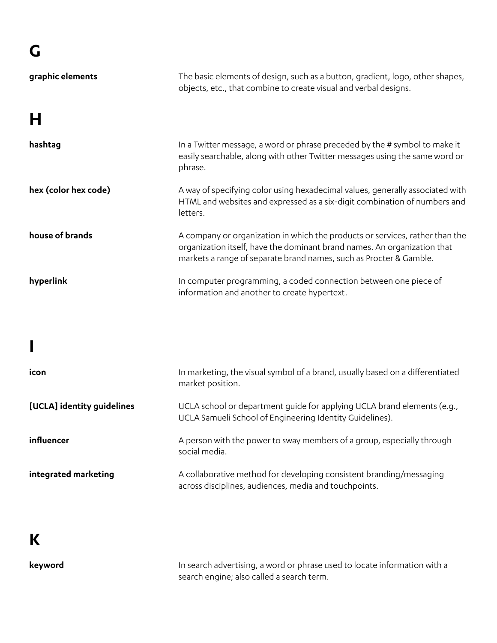| graphic elements           | The basic elements of design, such as a button, gradient, logo, other shapes,<br>objects, etc., that combine to create visual and verbal designs.                                                                              |
|----------------------------|--------------------------------------------------------------------------------------------------------------------------------------------------------------------------------------------------------------------------------|
| н                          |                                                                                                                                                                                                                                |
| hashtag                    | In a Twitter message, a word or phrase preceded by the # symbol to make it<br>easily searchable, along with other Twitter messages using the same word or<br>phrase.                                                           |
| hex (color hex code)       | A way of specifying color using hexadecimal values, generally associated with<br>HTML and websites and expressed as a six-digit combination of numbers and<br>letters.                                                         |
| house of brands            | A company or organization in which the products or services, rather than the<br>organization itself, have the dominant brand names. An organization that<br>markets a range of separate brand names, such as Procter & Gamble. |
| hyperlink                  | In computer programming, a coded connection between one piece of<br>information and another to create hypertext.                                                                                                               |
|                            |                                                                                                                                                                                                                                |
|                            |                                                                                                                                                                                                                                |
| icon                       | In marketing, the visual symbol of a brand, usually based on a differentiated<br>market position.                                                                                                                              |
| [UCLA] identity guidelines | UCLA school or department guide for applying UCLA brand elements (e.g.,<br>UCLA Samueli School of Engineering Identity Guidelines).                                                                                            |
| influencer                 | A person with the power to sway members of a group, especially through<br>social media.                                                                                                                                        |

**integrated marketing** 

A collaborative method for developing consistent branding/messaging across disciplines, audiences, media and touchpoints.

**K**

**keyword**

In search advertising, a word or phrase used to locate information with a search engine; also called a search term.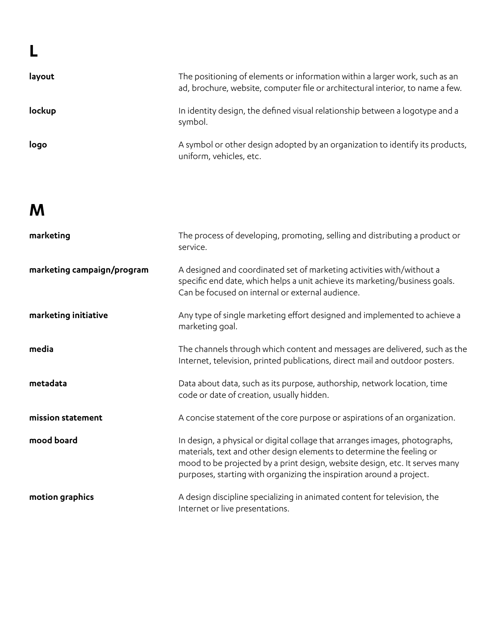| layout | The positioning of elements or information within a larger work, such as an<br>ad, brochure, website, computer file or architectural interior, to name a few. |
|--------|---------------------------------------------------------------------------------------------------------------------------------------------------------------|
| lockup | In identity design, the defined visual relationship between a logotype and a<br>symbol.                                                                       |
| logo   | A symbol or other design adopted by an organization to identify its products,<br>uniform, vehicles, etc.                                                      |

**M**

| marketing                  | The process of developing, promoting, selling and distributing a product or<br>service.                                                                                                                                                                                                                     |
|----------------------------|-------------------------------------------------------------------------------------------------------------------------------------------------------------------------------------------------------------------------------------------------------------------------------------------------------------|
| marketing campaign/program | A designed and coordinated set of marketing activities with/without a<br>specific end date, which helps a unit achieve its marketing/business goals.<br>Can be focused on internal or external audience.                                                                                                    |
| marketing initiative       | Any type of single marketing effort designed and implemented to achieve a<br>marketing goal.                                                                                                                                                                                                                |
| media                      | The channels through which content and messages are delivered, such as the<br>Internet, television, printed publications, direct mail and outdoor posters.                                                                                                                                                  |
| metadata                   | Data about data, such as its purpose, authorship, network location, time<br>code or date of creation, usually hidden.                                                                                                                                                                                       |
| mission statement          | A concise statement of the core purpose or aspirations of an organization.                                                                                                                                                                                                                                  |
| mood board                 | In design, a physical or digital collage that arranges images, photographs,<br>materials, text and other design elements to determine the feeling or<br>mood to be projected by a print design, website design, etc. It serves many<br>purposes, starting with organizing the inspiration around a project. |
| motion graphics            | A design discipline specializing in animated content for television, the<br>Internet or live presentations.                                                                                                                                                                                                 |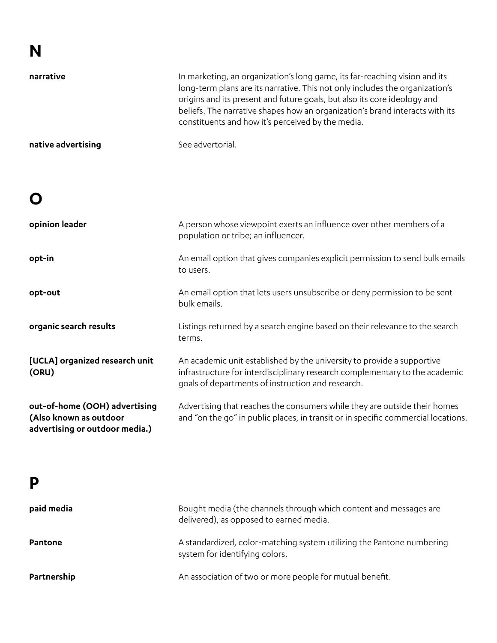#### **N narrative native advertising** In marketing, an organization's long game, its far-reaching vision and its long-term plans are its narrative. This not only includes the organization's origins and its present and future goals, but also its core ideology and beliefs. The narrative shapes how an organization's brand interacts with its constituents and how it's perceived by the media. See advertorial.

## **O**

| opinion leader                                                                            | A person whose viewpoint exerts an influence over other members of a<br>population or tribe; an influencer.                                                                                                |
|-------------------------------------------------------------------------------------------|------------------------------------------------------------------------------------------------------------------------------------------------------------------------------------------------------------|
| opt-in                                                                                    | An email option that gives companies explicit permission to send bulk emails<br>to users.                                                                                                                  |
| opt-out                                                                                   | An email option that lets users unsubscribe or deny permission to be sent<br>bulk emails.                                                                                                                  |
| organic search results                                                                    | Listings returned by a search engine based on their relevance to the search<br>terms.                                                                                                                      |
| [UCLA] organized research unit<br>(ORU)                                                   | An academic unit established by the university to provide a supportive<br>infrastructure for interdisciplinary research complementary to the academic<br>goals of departments of instruction and research. |
| out-of-home (OOH) advertising<br>(Also known as outdoor<br>advertising or outdoor media.) | Advertising that reaches the consumers while they are outside their homes<br>and "on the go" in public places, in transit or in specific commercial locations.                                             |

#### **P**

| paid media     | Bought media (the channels through which content and messages are<br>delivered), as opposed to earned media. |
|----------------|--------------------------------------------------------------------------------------------------------------|
| <b>Pantone</b> | A standardized, color-matching system utilizing the Pantone numbering<br>system for identifying colors.      |
| Partnership    | An association of two or more people for mutual benefit.                                                     |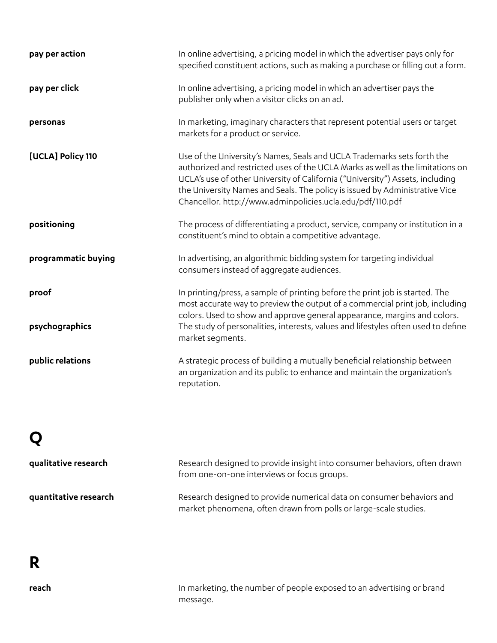| pay per action      | In online advertising, a pricing model in which the advertiser pays only for<br>specified constituent actions, such as making a purchase or filling out a form.                                                                                                                                                                                                                        |
|---------------------|----------------------------------------------------------------------------------------------------------------------------------------------------------------------------------------------------------------------------------------------------------------------------------------------------------------------------------------------------------------------------------------|
| pay per click       | In online advertising, a pricing model in which an advertiser pays the<br>publisher only when a visitor clicks on an ad.                                                                                                                                                                                                                                                               |
| personas            | In marketing, imaginary characters that represent potential users or target<br>markets for a product or service.                                                                                                                                                                                                                                                                       |
| [UCLA] Policy 110   | Use of the University's Names, Seals and UCLA Trademarks sets forth the<br>authorized and restricted uses of the UCLA Marks as well as the limitations on<br>UCLA's use of other University of California ("University") Assets, including<br>the University Names and Seals. The policy is issued by Administrative Vice<br>Chancellor. http://www.adminpolicies.ucla.edu/pdf/110.pdf |
| positioning         | The process of differentiating a product, service, company or institution in a<br>constituent's mind to obtain a competitive advantage.                                                                                                                                                                                                                                                |
| programmatic buying | In advertising, an algorithmic bidding system for targeting individual<br>consumers instead of aggregate audiences.                                                                                                                                                                                                                                                                    |
| proof               | In printing/press, a sample of printing before the print job is started. The<br>most accurate way to preview the output of a commercial print job, including<br>colors. Used to show and approve general appearance, margins and colors.                                                                                                                                               |
| psychographics      | The study of personalities, interests, values and lifestyles often used to define<br>market segments.                                                                                                                                                                                                                                                                                  |
| public relations    | A strategic process of building a mutually beneficial relationship between<br>an organization and its public to enhance and maintain the organization's<br>reputation.                                                                                                                                                                                                                 |

## **Q**

| qualitative research  | Research designed to provide insight into consumer behaviors, often drawn<br>from one-on-one interviews or focus groups.                  |
|-----------------------|-------------------------------------------------------------------------------------------------------------------------------------------|
| quantitative research | Research designed to provide numerical data on consumer behaviors and<br>market phenomena, often drawn from polls or large-scale studies. |

## **R**

In marketing, the number of people exposed to an advertising or brand message.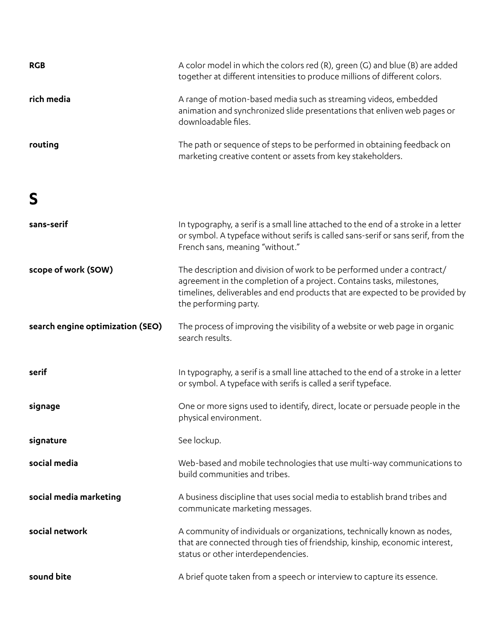| <b>RGB</b>                       | A color model in which the colors red (R), green (G) and blue (B) are added<br>together at different intensities to produce millions of different colors.                                                                                                |
|----------------------------------|----------------------------------------------------------------------------------------------------------------------------------------------------------------------------------------------------------------------------------------------------------|
| rich media                       | A range of motion-based media such as streaming videos, embedded<br>animation and synchronized slide presentations that enliven web pages or<br>downloadable files.                                                                                      |
| routing                          | The path or sequence of steps to be performed in obtaining feedback on<br>marketing creative content or assets from key stakeholders.                                                                                                                    |
| S                                |                                                                                                                                                                                                                                                          |
| sans-serif                       | In typography, a serif is a small line attached to the end of a stroke in a letter<br>or symbol. A typeface without serifs is called sans-serif or sans serif, from the<br>French sans, meaning "without."                                               |
| scope of work (SOW)              | The description and division of work to be performed under a contract/<br>agreement in the completion of a project. Contains tasks, milestones,<br>timelines, deliverables and end products that are expected to be provided by<br>the performing party. |
| search engine optimization (SEO) | The process of improving the visibility of a website or web page in organic<br>search results.                                                                                                                                                           |
| serif                            | In typography, a serif is a small line attached to the end of a stroke in a letter<br>or symbol. A typeface with serifs is called a serif typeface.                                                                                                      |
| signage                          | One or more signs used to identify, direct, locate or persuade people in the<br>physical environment.                                                                                                                                                    |
| signature                        | See lockup.                                                                                                                                                                                                                                              |
|                                  |                                                                                                                                                                                                                                                          |
| social media                     | Web-based and mobile technologies that use multi-way communications to<br>build communities and tribes.                                                                                                                                                  |
| social media marketing           | A business discipline that uses social media to establish brand tribes and<br>communicate marketing messages.                                                                                                                                            |
| social network                   | A community of individuals or organizations, technically known as nodes,<br>that are connected through ties of friendship, kinship, economic interest,<br>status or other interdependencies.                                                             |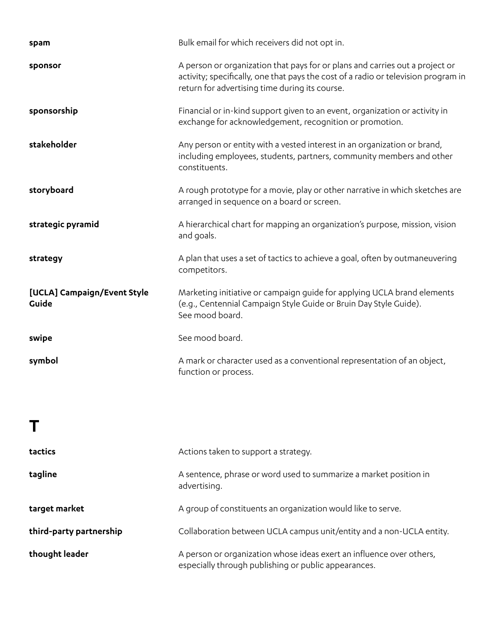| spam                                 | Bulk email for which receivers did not opt in.                                                                                                                                                                       |
|--------------------------------------|----------------------------------------------------------------------------------------------------------------------------------------------------------------------------------------------------------------------|
| sponsor                              | A person or organization that pays for or plans and carries out a project or<br>activity; specifically, one that pays the cost of a radio or television program in<br>return for advertising time during its course. |
| sponsorship                          | Financial or in-kind support given to an event, organization or activity in<br>exchange for acknowledgement, recognition or promotion.                                                                               |
| stakeholder                          | Any person or entity with a vested interest in an organization or brand,<br>including employees, students, partners, community members and other<br>constituents.                                                    |
| storyboard                           | A rough prototype for a movie, play or other narrative in which sketches are<br>arranged in sequence on a board or screen.                                                                                           |
| strategic pyramid                    | A hierarchical chart for mapping an organization's purpose, mission, vision<br>and goals.                                                                                                                            |
| strategy                             | A plan that uses a set of tactics to achieve a goal, often by outmaneuvering<br>competitors.                                                                                                                         |
| [UCLA] Campaign/Event Style<br>Guide | Marketing initiative or campaign guide for applying UCLA brand elements<br>(e.g., Centennial Campaign Style Guide or Bruin Day Style Guide).<br>See mood board.                                                      |
| swipe                                | See mood board.                                                                                                                                                                                                      |
| symbol                               | A mark or character used as a conventional representation of an object,<br>function or process.                                                                                                                      |
|                                      |                                                                                                                                                                                                                      |

| tactics                 | Actions taken to support a strategy.                                                                                         |
|-------------------------|------------------------------------------------------------------------------------------------------------------------------|
| tagline                 | A sentence, phrase or word used to summarize a market position in<br>advertising.                                            |
| target market           | A group of constituents an organization would like to serve.                                                                 |
| third-party partnership | Collaboration between UCLA campus unit/entity and a non-UCLA entity.                                                         |
| thought leader          | A person or organization whose ideas exert an influence over others,<br>especially through publishing or public appearances. |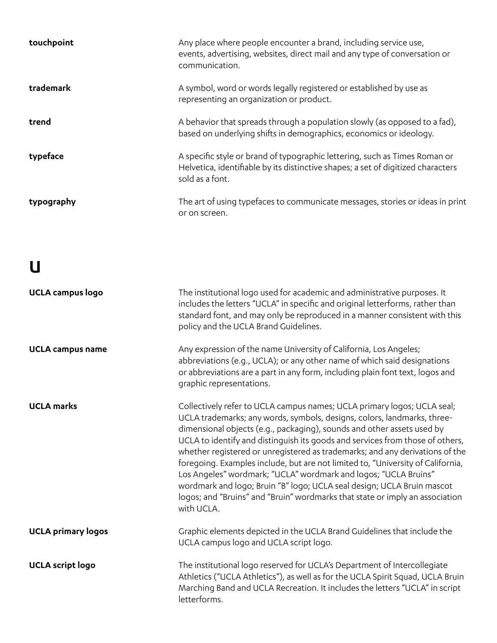| touchpoint | Any place where people encounter a brand, including service use,<br>events, advertising, websites, direct mail and any type of conversation or<br>communication.                  |
|------------|-----------------------------------------------------------------------------------------------------------------------------------------------------------------------------------|
| trademark  | A symbol, word or words legally registered or established by use as<br>representing an organization or product.                                                                   |
| trend      | A behavior that spreads through a population slowly (as opposed to a fad),<br>based on underlying shifts in demographics, economics or ideology.                                  |
| typeface   | A specific style or brand of typographic lettering, such as Times Roman or<br>Helvetica, identifiable by its distinctive shapes; a set of digitized characters<br>sold as a font. |
| typography | The art of using typefaces to communicate messages, stories or ideas in print<br>or on screen.                                                                                    |

## **U**

| <b>UCLA campus logo</b>   | The institutional logo used for academic and administrative purposes. It<br>includes the letters "UCLA" in specific and original letterforms, rather than<br>standard font, and may only be reproduced in a manner consistent with this<br>policy and the UCLA Brand Guidelines.                                                                                                                                                                                                                                                                                                                                                                                                                                            |
|---------------------------|-----------------------------------------------------------------------------------------------------------------------------------------------------------------------------------------------------------------------------------------------------------------------------------------------------------------------------------------------------------------------------------------------------------------------------------------------------------------------------------------------------------------------------------------------------------------------------------------------------------------------------------------------------------------------------------------------------------------------------|
| <b>UCLA campus name</b>   | Any expression of the name University of California, Los Angeles;<br>abbreviations (e.g., UCLA); or any other name of which said designations<br>or abbreviations are a part in any form, including plain font text, logos and<br>graphic representations.                                                                                                                                                                                                                                                                                                                                                                                                                                                                  |
| <b>UCLA</b> marks         | Collectively refer to UCLA campus names; UCLA primary logos; UCLA seal;<br>UCLA trademarks; any words, symbols, designs, colors, landmarks, three-<br>dimensional objects (e.g., packaging), sounds and other assets used by<br>UCLA to identify and distinguish its goods and services from those of others,<br>whether registered or unregistered as trademarks; and any derivations of the<br>foregoing. Examples include, but are not limited to, "University of California,<br>Los Angeles" wordmark; "UCLA" wordmark and logos; "UCLA Bruins"<br>wordmark and logo; Bruin "B" logo; UCLA seal design; UCLA Bruin mascot<br>logos; and "Bruins" and "Bruin" wordmarks that state or imply an association<br>with UCLA. |
| <b>UCLA primary logos</b> | Graphic elements depicted in the UCLA Brand Guidelines that include the<br>UCLA campus logo and UCLA script logo.                                                                                                                                                                                                                                                                                                                                                                                                                                                                                                                                                                                                           |
| <b>UCLA script logo</b>   | The institutional logo reserved for UCLA's Department of Intercollegiate<br>Athletics ("UCLA Athletics"), as well as for the UCLA Spirit Squad, UCLA Bruin<br>Marching Band and UCLA Recreation. It includes the letters "UCLA" in script<br>letterforms.                                                                                                                                                                                                                                                                                                                                                                                                                                                                   |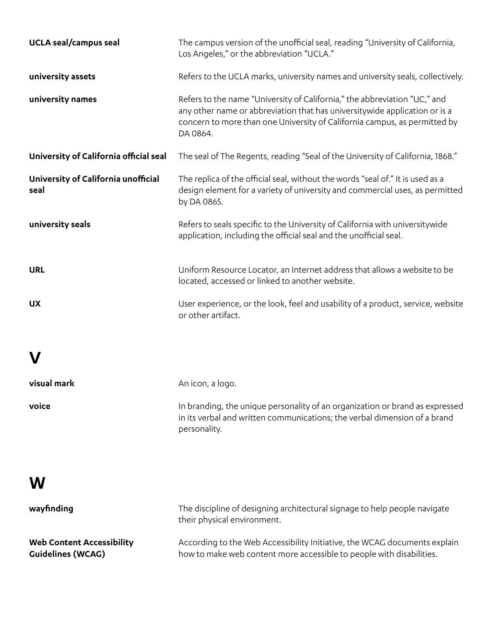| <b>UCLA</b> seal/campus seal                | The campus version of the unofficial seal, reading "University of California,<br>Los Angeles," or the abbreviation "UCLA."                                                                                                                       |
|---------------------------------------------|--------------------------------------------------------------------------------------------------------------------------------------------------------------------------------------------------------------------------------------------------|
| university assets                           | Refers to the UCLA marks, university names and university seals, collectively.                                                                                                                                                                   |
| university names                            | Refers to the name "University of California," the abbreviation "UC," and<br>any other name or abbreviation that has universitywide application or is a<br>concern to more than one University of California campus, as permitted by<br>DA 0864. |
| University of California official seal      | The seal of The Regents, reading "Seal of the University of California, 1868."                                                                                                                                                                   |
| University of California unofficial<br>seal | The replica of the official seal, without the words "seal of." It is used as a<br>design element for a variety of university and commercial uses, as permitted<br>by DA 0865.                                                                    |
| university seals                            | Refers to seals specific to the University of California with universitywide<br>application, including the official seal and the unofficial seal.                                                                                                |
| <b>URL</b>                                  | Uniform Resource Locator, an Internet address that allows a website to be<br>located, accessed or linked to another website.                                                                                                                     |
| <b>UX</b>                                   | User experience, or the look, feel and usability of a product, service, website<br>or other artifact.                                                                                                                                            |
|                                             |                                                                                                                                                                                                                                                  |
| visual mark                                 | An icon, a logo.                                                                                                                                                                                                                                 |
| voice                                       | In branding, the unique personality of an organization or brand as expressed<br>in its verbal and written communications; the verbal dimension of a brand<br>personality.                                                                        |
|                                             |                                                                                                                                                                                                                                                  |

| wayfinding                       | The discipline of designing architectural signage to help people navigate<br>their physical environment. |
|----------------------------------|----------------------------------------------------------------------------------------------------------|
| <b>Web Content Accessibility</b> | According to the Web Accessibility Initiative, the WCAG documents explain                                |
| <b>Guidelines (WCAG)</b>         | how to make web content more accessible to people with disabilities.                                     |